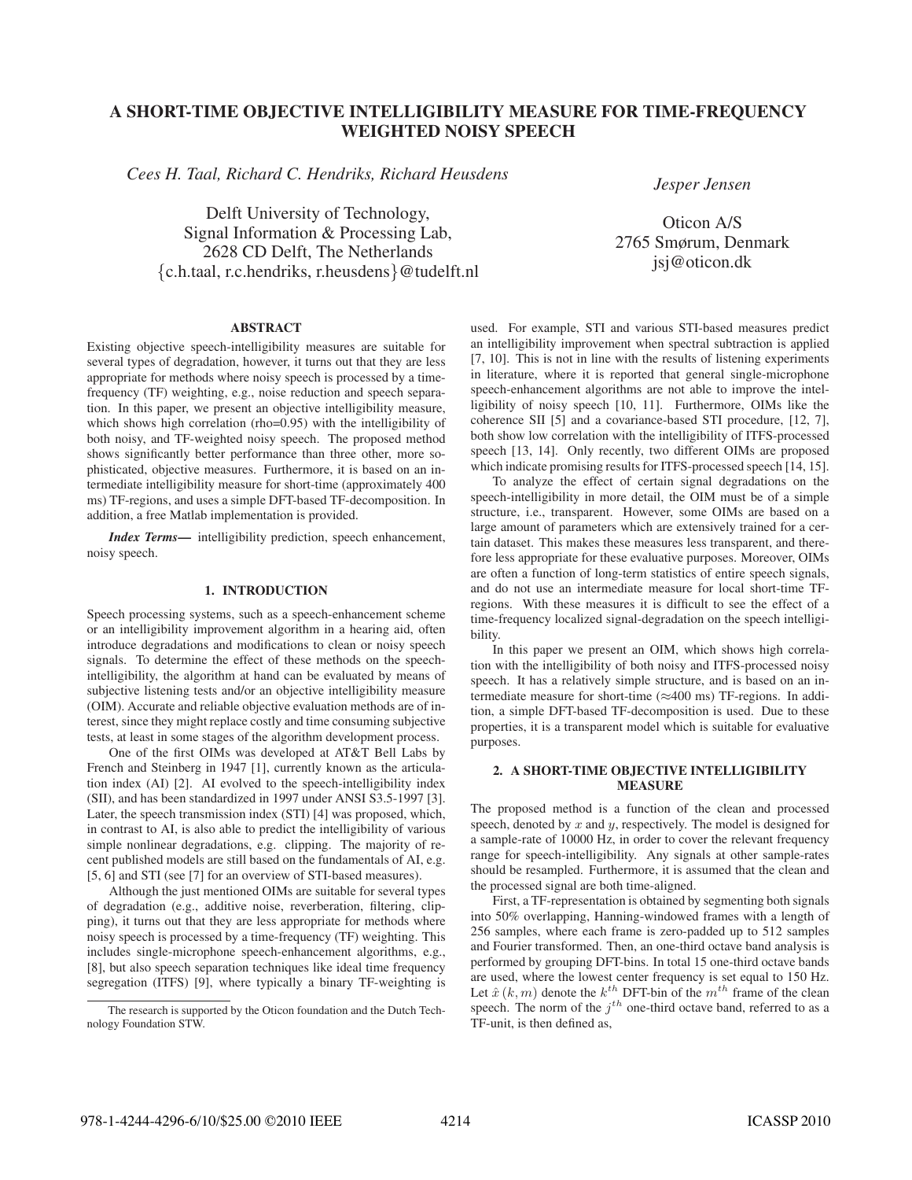# A SHORT-TIME OBJECTIVE INTELLIGIBILITY MEASURE FOR TIME-FREQUENCY WEIGHTED NOISY SPEECH

*Cees H. Taal, Richard C. Hendriks, Richard Heusdens*

Delft University of Technology, Signal Information & Processing Lab, 2628 CD Delft, The Netherlands {c.h.taal, r.c.hendriks, r.heusdens}@tudelft.nl *Jesper Jensen*

Oticon A/S 2765 Smørum, Denmark jsj@oticon.dk

# ABSTRACT

Existing objective speech-intelligibility measures are suitable for several types of degradation, however, it turns out that they are less appropriate for methods where noisy speech is processed by a timefrequency (TF) weighting, e.g., noise reduction and speech separation. In this paper, we present an objective intelligibility measure, which shows high correlation (rho=0.95) with the intelligibility of both noisy, and TF-weighted noisy speech. The proposed method shows significantly better performance than three other, more sophisticated, objective measures. Furthermore, it is based on an intermediate intelligibility measure for short-time (approximately 400 ms) TF-regions, and uses a simple DFT-based TF-decomposition. In addition, a free Matlab implementation is provided.

*Index Terms*— intelligibility prediction, speech enhancement, noisy speech.

## 1. INTRODUCTION

Speech processing systems, such as a speech-enhancement scheme or an intelligibility improvement algorithm in a hearing aid, often introduce degradations and modifications to clean or noisy speech signals. To determine the effect of these methods on the speechintelligibility, the algorithm at hand can be evaluated by means of subjective listening tests and/or an objective intelligibility measure (OIM). Accurate and reliable objective evaluation methods are of interest, since they might replace costly and time consuming subjective tests, at least in some stages of the algorithm development process.

One of the first OIMs was developed at AT&T Bell Labs by French and Steinberg in 1947 [1], currently known as the articulation index (AI) [2]. AI evolved to the speech-intelligibility index (SII), and has been standardized in 1997 under ANSI S3.5-1997 [3]. Later, the speech transmission index (STI) [4] was proposed, which, in contrast to AI, is also able to predict the intelligibility of various simple nonlinear degradations, e.g. clipping. The majority of recent published models are still based on the fundamentals of AI, e.g. [5, 6] and STI (see [7] for an overview of STI-based measures).

Although the just mentioned OIMs are suitable for several types of degradation (e.g., additive noise, reverberation, filtering, clipping), it turns out that they are less appropriate for methods where noisy speech is processed by a time-frequency (TF) weighting. This includes single-microphone speech-enhancement algorithms, e.g., [8], but also speech separation techniques like ideal time frequency segregation (ITFS) [9], where typically a binary TF-weighting is used. For example, STI and various STI-based measures predict an intelligibility improvement when spectral subtraction is applied [7, 10]. This is not in line with the results of listening experiments in literature, where it is reported that general single-microphone speech-enhancement algorithms are not able to improve the intelligibility of noisy speech [10, 11]. Furthermore, OIMs like the coherence SII [5] and a covariance-based STI procedure, [12, 7], both show low correlation with the intelligibility of ITFS-processed speech [13, 14]. Only recently, two different OIMs are proposed which indicate promising results for ITFS-processed speech [14, 15].

To analyze the effect of certain signal degradations on the speech-intelligibility in more detail, the OIM must be of a simple structure, i.e., transparent. However, some OIMs are based on a large amount of parameters which are extensively trained for a certain dataset. This makes these measures less transparent, and therefore less appropriate for these evaluative purposes. Moreover, OIMs are often a function of long-term statistics of entire speech signals, and do not use an intermediate measure for local short-time TFregions. With these measures it is difficult to see the effect of a time-frequency localized signal-degradation on the speech intelligibility.

In this paper we present an OIM, which shows high correlation with the intelligibility of both noisy and ITFS-processed noisy speech. It has a relatively simple structure, and is based on an intermediate measure for short-time  $(\approx 400 \text{ ms})$  TF-regions. In addition, a simple DFT-based TF-decomposition is used. Due to these properties, it is a transparent model which is suitable for evaluative purposes.

### 2. A SHORT-TIME OBJECTIVE INTELLIGIBILITY **MEASURE**

The proposed method is a function of the clean and processed speech, denoted by  $x$  and  $y$ , respectively. The model is designed for a sample-rate of 10000 Hz, in order to cover the relevant frequency range for speech-intelligibility. Any signals at other sample-rates should be resampled. Furthermore, it is assumed that the clean and the processed signal are both time-aligned.

First, a TF-representation is obtained by segmenting both signals into 50% overlapping, Hanning-windowed frames with a length of 256 samples, where each frame is zero-padded up to 512 samples and Fourier transformed. Then, an one-third octave band analysis is performed by grouping DFT-bins. In total 15 one-third octave bands are used, where the lowest center frequency is set equal to 150 Hz. Let  $\hat{x}(k,m)$  denote the  $k^{th}$  DFT-bin of the  $m^{th}$  frame of the clean speech. The norm of the  $j^{th}$  one-third octave band, referred to as a TF-unit, is then defined as,

The research is supported by the Oticon foundation and the Dutch Technology Foundation STW.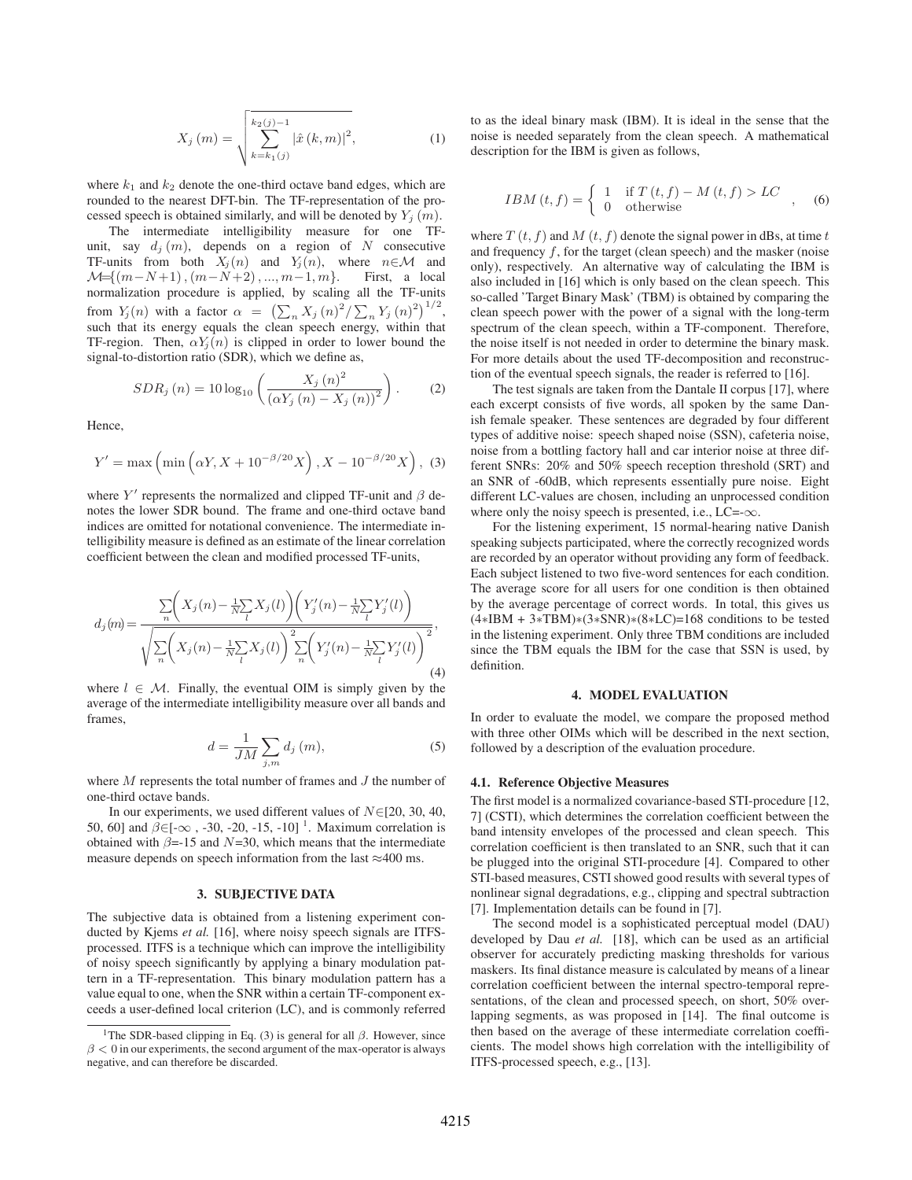$$
X_j(m) = \sqrt{\sum_{k=k_1(j)}^{k_2(j)-1} |\hat{x}(k,m)|^2},
$$
 (1)

where  $k_1$  and  $k_2$  denote the one-third octave band edges, which are rounded to the nearest DFT-bin. The TF-representation of the processed speech is obtained similarly, and will be denoted by  $Y_i(m)$ .

The intermediate intelligibility measure for one TFunit, say  $d_i(m)$ , depends on a region of N consecutive TF-units from both  $X_j(n)$  and  $Y_j(n)$ , where  $n \in \mathcal{M}$  and  $\mathcal{M} = \{(m-N+1), (m-N+2), ..., m-1, m\}$ . First, a local  $\mathcal{M}=\{(m-N+1), (m-N+2), ..., m-1, m\}.$ normalization procedure is applied, by scaling all the TF-units from  $Y_j(n)$  with a factor  $\alpha = (\sum_n X_j(n)^2 / \sum_n Y_j(n)^2)^{1/2}$ , such that its energy equals the clean speech energy, within that TF-region. Then,  $\alpha Y_i(n)$  is clipped in order to lower bound the signal-to-distortion ratio (SDR), which we define as,

$$
SDR_{j}(n) = 10 \log_{10} \left( \frac{X_{j}(n)^{2}}{(\alpha Y_{j}(n) - X_{j}(n))^{2}} \right). \tag{2}
$$

Hence,

$$
Y' = \max\left(\min\left(\alpha Y, X + 10^{-\beta/20} X\right), X - 10^{-\beta/20} X\right), \tag{3}
$$

where  $Y'$  represents the normalized and clipped TF-unit and  $\beta$  denotes the lower SDR bound. The frame and one-third octave band indices are omitted for notational convenience. The intermediate intelligibility measure is defined as an estimate of the linear correlation coefficient between the clean and modified processed TF-units,

$$
d_j(m) = \frac{\sum_{n} \left( X_j(n) - \frac{1}{N} \sum_{l} X_j(l) \right) \left( Y'_j(n) - \frac{1}{N} \sum_{l} Y'_j(l) \right)}{\sqrt{\sum_{n} \left( X_j(n) - \frac{1}{N} \sum_{l} X_j(l) \right)^2 \sum_{n} \left( Y'_j(n) - \frac{1}{N} \sum_{l} Y'_j(l) \right)^2}},\tag{4}
$$

where  $l \in \mathcal{M}$ . Finally, the eventual OIM is simply given by the average of the intermediate intelligibility measure over all bands and frames,

$$
d = \frac{1}{JM} \sum_{j,m} d_j(m), \qquad (5)
$$

where M represents the total number of frames and J the number of one-third octave bands.

In our experiments, we used different values of  $N \in [20, 30, 40, 40]$ 50, 60] and  $\beta \in [-\infty, -30, -20, -15, -10]$ <sup>1</sup>. Maximum correlation is obtained with  $\beta$ =-15 and  $N$ =30, which means that the intermediate measure depends on speech information from the last  $\approx$ 400 ms.

## 3. SUBJECTIVE DATA

The subjective data is obtained from a listening experiment conducted by Kjems *et al.* [16], where noisy speech signals are ITFSprocessed. ITFS is a technique which can improve the intelligibility of noisy speech significantly by applying a binary modulation pattern in a TF-representation. This binary modulation pattern has a value equal to one, when the SNR within a certain TF-component exceeds a user-defined local criterion (LC), and is commonly referred

to as the ideal binary mask (IBM). It is ideal in the sense that the noise is needed separately from the clean speech. A mathematical description for the IBM is given as follows,

$$
IBM(t, f) = \begin{cases} 1 & \text{if } T(t, f) - M(t, f) > LC \\ 0 & \text{otherwise} \end{cases}
$$
, (6)

where  $T(t, f)$  and  $M(t, f)$  denote the signal power in dBs, at time t and frequency  $f$ , for the target (clean speech) and the masker (noise only), respectively. An alternative way of calculating the IBM is also included in [16] which is only based on the clean speech. This so-called 'Target Binary Mask' (TBM) is obtained by comparing the clean speech power with the power of a signal with the long-term spectrum of the clean speech, within a TF-component. Therefore, the noise itself is not needed in order to determine the binary mask. For more details about the used TF-decomposition and reconstruction of the eventual speech signals, the reader is referred to [16].

The test signals are taken from the Dantale II corpus [17], where each excerpt consists of five words, all spoken by the same Danish female speaker. These sentences are degraded by four different types of additive noise: speech shaped noise (SSN), cafeteria noise, noise from a bottling factory hall and car interior noise at three different SNRs: 20% and 50% speech reception threshold (SRT) and an SNR of -60dB, which represents essentially pure noise. Eight different LC-values are chosen, including an unprocessed condition where only the noisy speech is presented, i.e.,  $LC = -\infty$ .

For the listening experiment, 15 normal-hearing native Danish speaking subjects participated, where the correctly recognized words are recorded by an operator without providing any form of feedback. Each subject listened to two five-word sentences for each condition. The average score for all users for one condition is then obtained by the average percentage of correct words. In total, this gives us (4∗IBM + 3∗TBM)∗(3∗SNR)∗(8∗LC)=168 conditions to be tested in the listening experiment. Only three TBM conditions are included since the TBM equals the IBM for the case that SSN is used, by definition.

#### 4. MODEL EVALUATION

In order to evaluate the model, we compare the proposed method with three other OIMs which will be described in the next section, followed by a description of the evaluation procedure.

### 4.1. Reference Objective Measures

The first model is a normalized covariance-based STI-procedure [12, 7] (CSTI), which determines the correlation coefficient between the band intensity envelopes of the processed and clean speech. This correlation coefficient is then translated to an SNR, such that it can be plugged into the original STI-procedure [4]. Compared to other STI-based measures, CSTI showed good results with several types of nonlinear signal degradations, e.g., clipping and spectral subtraction [7]. Implementation details can be found in [7].

The second model is a sophisticated perceptual model (DAU) developed by Dau *et al.* [18], which can be used as an artificial observer for accurately predicting masking thresholds for various maskers. Its final distance measure is calculated by means of a linear correlation coefficient between the internal spectro-temporal representations, of the clean and processed speech, on short, 50% overlapping segments, as was proposed in [14]. The final outcome is then based on the average of these intermediate correlation coefficients. The model shows high correlation with the intelligibility of ITFS-processed speech, e.g., [13].

<sup>&</sup>lt;sup>1</sup>The SDR-based clipping in Eq. (3) is general for all  $\beta$ . However, since  $\beta$  < 0 in our experiments, the second argument of the max-operator is always negative, and can therefore be discarded.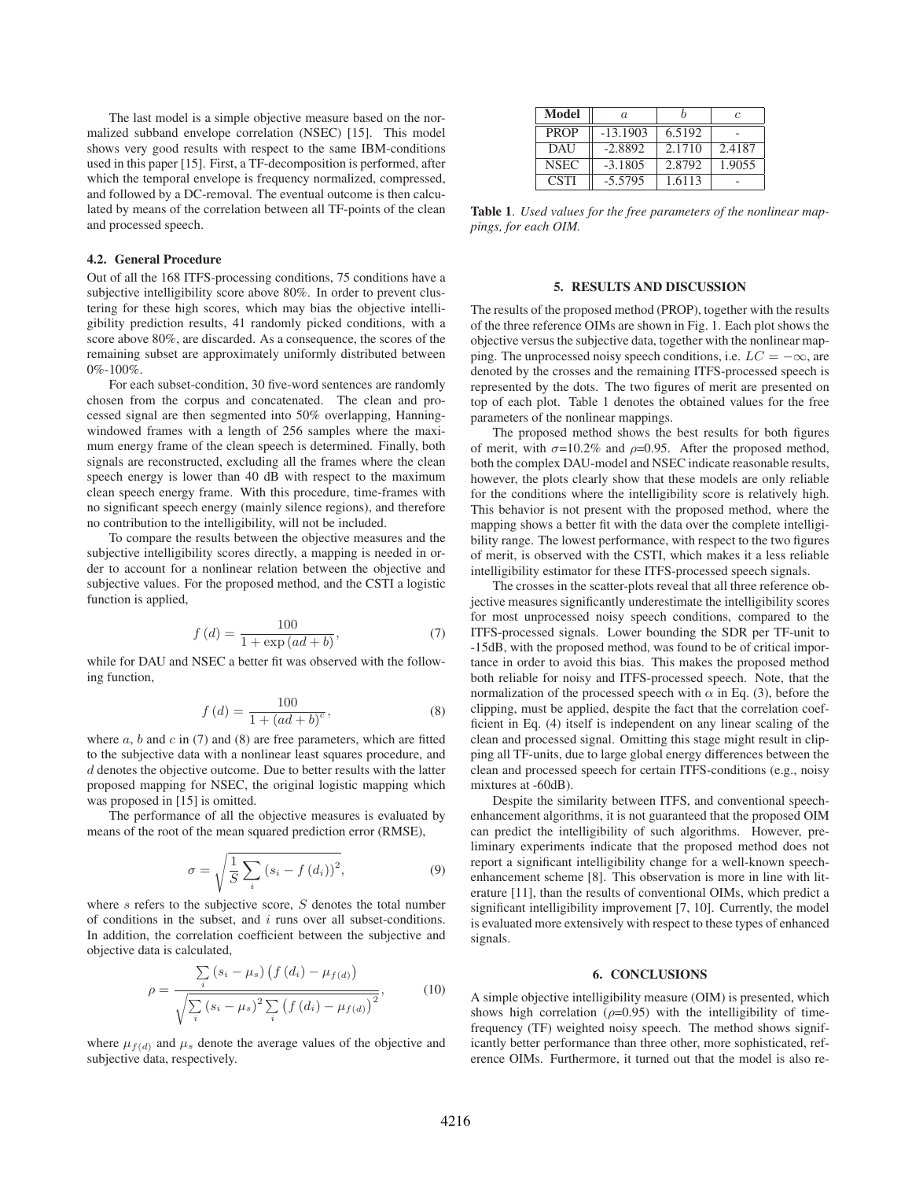The last model is a simple objective measure based on the normalized subband envelope correlation (NSEC) [15]. This model shows very good results with respect to the same IBM-conditions used in this paper [15]. First, a TF-decomposition is performed, after which the temporal envelope is frequency normalized, compressed, and followed by a DC-removal. The eventual outcome is then calculated by means of the correlation between all TF-points of the clean and processed speech.

#### 4.2. General Procedure

Out of all the 168 ITFS-processing conditions, 75 conditions have a subjective intelligibility score above 80%. In order to prevent clustering for these high scores, which may bias the objective intelligibility prediction results, 41 randomly picked conditions, with a score above 80%, are discarded. As a consequence, the scores of the remaining subset are approximately uniformly distributed between  $0\% - 100\%$ .

For each subset-condition, 30 five-word sentences are randomly chosen from the corpus and concatenated. The clean and processed signal are then segmented into 50% overlapping, Hanningwindowed frames with a length of 256 samples where the maximum energy frame of the clean speech is determined. Finally, both signals are reconstructed, excluding all the frames where the clean speech energy is lower than 40 dB with respect to the maximum clean speech energy frame. With this procedure, time-frames with no significant speech energy (mainly silence regions), and therefore no contribution to the intelligibility, will not be included.

To compare the results between the objective measures and the subjective intelligibility scores directly, a mapping is needed in order to account for a nonlinear relation between the objective and subjective values. For the proposed method, and the CSTI a logistic function is applied,

$$
f(d) = \frac{100}{1 + \exp(ad + b)},
$$
\n(7)

while for DAU and NSEC a better fit was observed with the following function,

$$
f(d) = \frac{100}{1 + (ad + b)^c},
$$
\n(8)

where a, b and c in (7) and (8) are free parameters, which are fitted<br>where a, b and c in (7) and (8) are free parameters, which are fitted to the subjective data with a nonlinear least squares procedure, and  $d$  denotes the objective outcome. Due to better results with the latter proposed mapping for NSEC, the original logistic mapping which was proposed in [15] is omitted.

The performance of all the objective measures is evaluated by means of the root of the mean squared prediction error (RMSE),

$$
\sigma = \sqrt{\frac{1}{S} \sum_{i} (s_i - f(d_i))^2},\tag{9}
$$

where  $s$  refers to the subjective score,  $S$  denotes the total number of conditions in the subset, and  $i$  runs over all subset-conditions. In addition, the correlation coefficient between the subjective and objective data is calculated,

$$
\rho = \frac{\sum_{i} (s_i - \mu_s) (f(d_i) - \mu_{f(d)})}{\sqrt{\sum_{i} (s_i - \mu_s)^2 \sum_{i} (f(d_i) - \mu_{f(d)})^2}},
$$
(10)

where  $\mu_{f(d)}$  and  $\mu_s$  denote the average values of the objective and subjective data, respectively.

| Model       | $\alpha$   |        | c      |
|-------------|------------|--------|--------|
| <b>PROP</b> | $-13.1903$ | 6.5192 |        |
| DAU         | $-2.8892$  | 2.1710 | 2.4187 |
| <b>NSEC</b> | $-3.1805$  | 2.8792 | 1.9055 |
| <b>CSTI</b> | $-5.5795$  | 1.6113 |        |

Table 1. *Used values for the free parameters of the nonlinear mappings, for each OIM.*

#### 5. RESULTS AND DISCUSSION

The results of the proposed method (PROP), together with the results of the three reference OIMs are shown in Fig. 1. Each plot shows the objective versus the subjective data, together with the nonlinear mapping. The unprocessed noisy speech conditions, i.e.  $LC = -\infty$ , are denoted by the crosses and the remaining ITFS-processed speech is represented by the dots. The two figures of merit are presented on top of each plot. Table 1 denotes the obtained values for the free parameters of the nonlinear mappings.

The proposed method shows the best results for both figures of merit, with  $\sigma = 10.2\%$  and  $\rho = 0.95$ . After the proposed method, both the complex DAU-model and NSEC indicate reasonable results, however, the plots clearly show that these models are only reliable for the conditions where the intelligibility score is relatively high. This behavior is not present with the proposed method, where the mapping shows a better fit with the data over the complete intelligibility range. The lowest performance, with respect to the two figures of merit, is observed with the CSTI, which makes it a less reliable intelligibility estimator for these ITFS-processed speech signals.

The crosses in the scatter-plots reveal that all three reference objective measures significantly underestimate the intelligibility scores for most unprocessed noisy speech conditions, compared to the ITFS-processed signals. Lower bounding the SDR per TF-unit to -15dB, with the proposed method, was found to be of critical importance in order to avoid this bias. This makes the proposed method both reliable for noisy and ITFS-processed speech. Note, that the normalization of the processed speech with  $\alpha$  in Eq. (3), before the clipping, must be applied, despite the fact that the correlation coefficient in Eq. (4) itself is independent on any linear scaling of the clean and processed signal. Omitting this stage might result in clipping all TF-units, due to large global energy differences between the clean and processed speech for certain ITFS-conditions (e.g., noisy mixtures at -60dB).

Despite the similarity between ITFS, and conventional speechenhancement algorithms, it is not guaranteed that the proposed OIM can predict the intelligibility of such algorithms. However, preliminary experiments indicate that the proposed method does not report a significant intelligibility change for a well-known speechenhancement scheme [8]. This observation is more in line with literature [11], than the results of conventional OIMs, which predict a significant intelligibility improvement [7, 10]. Currently, the model is evaluated more extensively with respect to these types of enhanced signals.

#### 6. CONCLUSIONS

A simple objective intelligibility measure (OIM) is presented, which shows high correlation ( $\rho$ =0.95) with the intelligibility of timefrequency (TF) weighted noisy speech. The method shows significantly better performance than three other, more sophisticated, reference OIMs. Furthermore, it turned out that the model is also re-